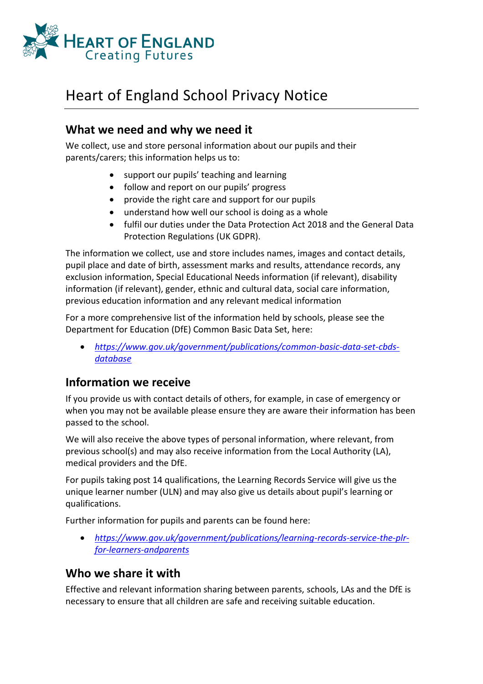

# Heart of England School Privacy Notice

### **What we need and why we need it**

We collect, use and store personal information about our pupils and their parents/carers; this information helps us to:

- support our pupils' teaching and learning
- follow and report on our pupils' progress
- provide the right care and support for our pupils
- understand how well our school is doing as a whole
- fulfil our duties under the Data Protection Act 2018 and the General Data Protection Regulations (UK GDPR).

The information we collect, use and store includes names, images and contact details, pupil place and date of birth, assessment marks and results, attendance records, any exclusion information, Special Educational Needs information (if relevant), disability information (if relevant), gender, ethnic and cultural data, social care information, previous education information and any relevant medical information

For a more comprehensive list of the information held by schools, please see the Department for Education (DfE) Common Basic Data Set, here:

• *<https://www.gov.uk/government/publications/common>[-basic-data-set-cbds](https://www.gov.uk/government/publications/common-basic-data-set-cbds-database)[database](https://www.gov.uk/government/publications/common-basic-data-set-cbds-database)*

### **Information we receive**

If you provide us with contact details of others, for example, in case of emergency or when you may not be available please ensure they are aware their information has been passed to the school.

We will also receive the above types of personal information, where relevant, from previous school(s) and may also receive information from the Local Authority (LA), medical providers and the DfE.

For pupils taking post 14 qualifications, the Learning Records Service will give us the unique learner number (ULN) and may also give us details about pupil's learning or qualifications.

Further information for pupils and parents can be found here:

• *[https://www.gov.uk/government/publications/learning-records-service-the-plr](https://www.gov.uk/government/publications/learning-records-service-the-plr-for-learners-and-parents)[for-learners-andparents](https://www.gov.uk/government/publications/learning-records-service-the-plr-for-learners-and-parents)*

### **Who we share it with**

Effective and relevant information sharing between parents, schools, LAs and the DfE is necessary to ensure that all children are safe and receiving suitable education.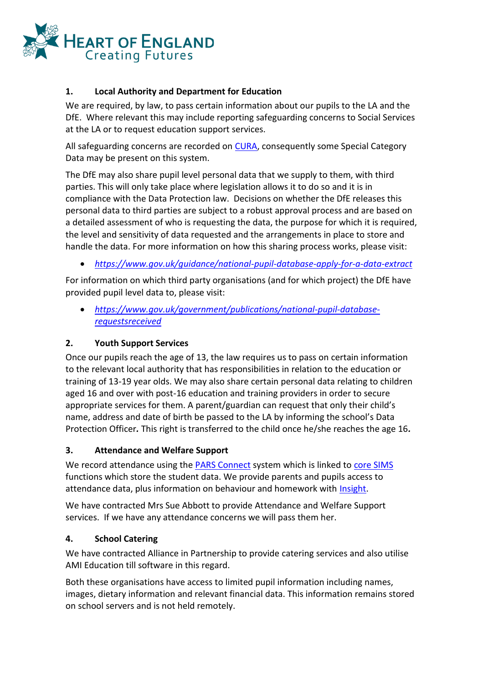

#### **1. Local Authority and Department for Education**

We are required, by law, to pass certain information about our pupils to the LA and the DfE. Where relevant this may include reporting safeguarding concerns to Social Services at the LA or to request education support services.

All safeguarding concerns are recorded on [CURA,](https://www.tascsoftware.co.uk/software-titles/cura/) consequently some Special Category Data may be present on this system.

The DfE may also share pupil level personal data that we supply to them, with third parties. This will only take place where legislation allows it to do so and it is in compliance with the Data Protection law. Decisions on whether the DfE releases this personal data to third parties are subject to a robust approval process and are based on a detailed assessment of who is requesting the data, the purpose for which it is required, the level and sensitivity of data requested and the arrangements in place to store and handle the data. For more information on how this sharing process works, please visit:

• *<https://www.gov.uk/guidance/national>[-pupil-database-apply-for-a-data-extract](https://www.gov.uk/guidance/national-pupil-database-apply-for-a-data-extract)*

For information on which third party organisations (and for which project) the DfE have provided pupil level data to, please visit:

• *[https://www.gov.uk/government/publications/national-pupil-database](https://www.gov.uk/government/publications/national-pupil-database-requests-received)[requestsreceived](https://www.gov.uk/government/publications/national-pupil-database-requests-received)*

#### **2. Youth Support Services**

Once our pupils reach the age of 13, the law requires us to pass on certain information to the relevant local authority that has responsibilities in relation to the education or training of 13-19 year olds. We may also share certain personal data relating to children aged 16 and over with post-16 education and training providers in order to secure appropriate services for them. A parent/guardian can request that only their child's name, address and date of birth be passed to the LA by informing the school's Data Protection Officer*.* This right is transferred to the child once he/she reaches the age 16*.* 

#### **3. Attendance and Welfare Support**

We record attendance using the [PARS Connect](https://www.tascsoftware.co.uk/software-titles/pars-connect/) system which is linked to [core SIMS](https://www.ess-sims.co.uk/products-and-services/sims-core-suite) functions which store the student data. We provide parents and pupils access to attendance data, plus information on behaviour and homework with [Insight.](https://www.tascsoftware.co.uk/software-titles/insight/insight-parental-engagement-features/)

We have contracted Mrs Sue Abbott to provide Attendance and Welfare Support services. If we have any attendance concerns we will pass them her.

#### **4. School Catering**

We have contracted Alliance in Partnership to provide catering services and also utilise AMI Education till software in this regard.

Both these organisations have access to limited pupil information including names, images, dietary information and relevant financial data. This information remains stored on school servers and is not held remotely.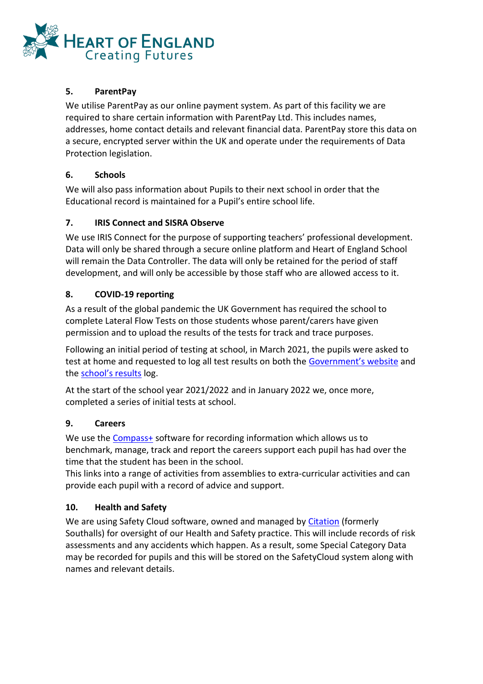

#### **5. ParentPay**

We utilise ParentPay as our online payment system. As part of this facility we are required to share certain information with ParentPay Ltd. This includes names, addresses, home contact details and relevant financial data. ParentPay store this data on a secure, encrypted server within the UK and operate under the requirements of Data Protection legislation.

#### **6. Schools**

We will also pass information about Pupils to their next school in order that the Educational record is maintained for a Pupil's entire school life.

#### **7. IRIS Connect and SISRA Observe**

We use IRIS Connect for the purpose of supporting teachers' professional development. Data will only be shared through a secure online platform and Heart of England School will remain the Data Controller. The data will only be retained for the period of staff development, and will only be accessible by those staff who are allowed access to it.

#### **8. COVID-19 reporting**

As a result of the global pandemic the UK Government has required the school to complete Lateral Flow Tests on those students whose parent/carers have given permission and to upload the results of the tests for track and trace purposes.

Following an initial period of testing at school, in March 2021, the pupils were asked to test at home and requested to log all test results on both the [Government's website](https://www.gov.uk/report-covid19-result) and the [school's results](https://www.gov.uk/report-covid19-result) log.

At the start of the school year 2021/2022 and in January 2022 we, once more, completed a series of initial tests at school.

#### **9. Careers**

We use the **Compass+** software for recording information which allows us to benchmark, manage, track and report the careers support each pupil has had over the time that the student has been in the school.

This links into a range of activities from assemblies to extra-curricular activities and can provide each pupil with a record of advice and support.

#### **10. Health and Safety**

We are using Safety Cloud software, owned and managed by [Citation](https://www.citation.co.uk/southalls-is-now-part-of-citation/) (formerly Southalls) for oversight of our Health and Safety practice. This will include records of risk assessments and any accidents which happen. As a result, some Special Category Data may be recorded for pupils and this will be stored on the SafetyCloud system along with names and relevant details.